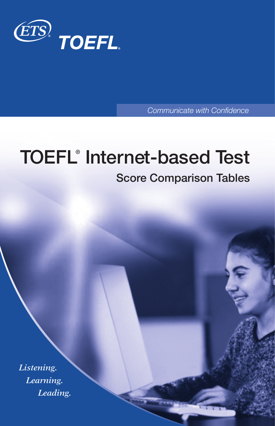

Communicate with Confidence

# **TOEFL® Internet-based Test**

## **Score Comparison Tables**

*Listening. Learning. Leading.*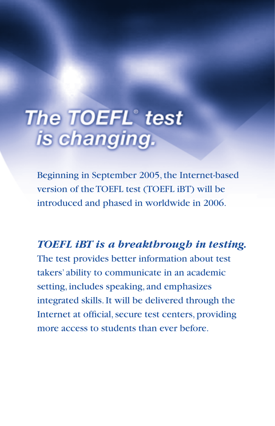# The TOEFL® test<br>is changing.

Beginning in September 2005, the Internet-based version of the TOEFL test (TOEFL iBT) will be introduced and phased in worldwide in 2006.

*TOEFL iBT is a breakthrough in testing.*

The test provides better information about test takers' ability to communicate in an academic setting, includes speaking, and emphasizes integrated skills. It will be delivered through the Internet at official, secure test centers, providing more access to students than ever before.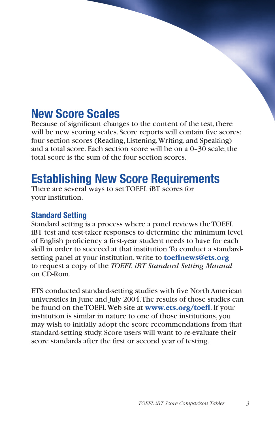## **New Score Scales**

Because of significant changes to the content of the test, there will be new scoring scales. Score reports will contain five scores: four section scores (Reading, Listening, Writing, and Speaking) and a total score. Each section score will be on a 0–30 scale; the total score is the sum of the four section scores.

# **Establishing New Score Requirements**

There are several ways to set TOEFL iBT scores for your institution.

## **Standard Setting**

Standard setting is a process where a panel reviews the TOEFL iBT test and test-taker responses to determine the minimum level of English proficiency a first-year student needs to have for each skill in order to succeed at that institution. To conduct a standardsetting panel at your institution, write to **toeflnews@ets.org** to request a copy of the *TOEFL iBT Standard Setting Manual* on CD-Rom.

ETS conducted standard-setting studies with five North American universities in June and July 2004. The results of those studies can be found on the TOEFL Web site at www.ets.org/toefl. If your institution is similar in nature to one of those institutions, you may wish to initially adopt the score recommendations from that standard-setting study. Score users will want to re-evaluate their score standards after the first or second year of testing.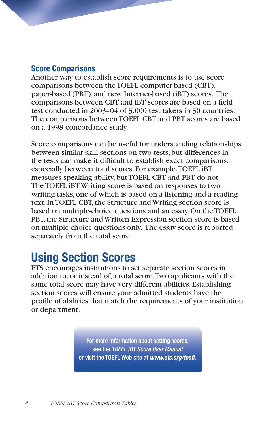## **Score Comparisons**

Another way to establish score requirements is to use score comparisons between the TOEFL computer-based (CBT), paper-based (PBT), and new Internet-based (iBT) scores. The comparisons between CBT and iBT scores are based on a field test conducted in 2003–04 of 3,000 test takers in 30 countries. The comparisons between TOEFL CBT and PBT scores are based on a 1998 concordance study.

Score comparisons can be useful for understanding relationships between similar skill sections on two tests, but differences in the tests can make it difficult to establish exact comparisons, especially between total scores. For example, TOEFL iBT measures speaking ability, but TOEFL CBT and PBT do not. The TOEFL iBT Writing score is based on responses to two writing tasks, one of which is based on a listening and a reading text. In TOEFL CBT, the Structure and Writing section score is based on multiple-choice questions and an essay. On the TOEFL PBT, the Structure and Written Expression section score is based on multiple-choice questions only. The essay score is reported separately from the total score.

# **Using Section Scores**

ETS encourages institutions to set separate section scores in addition to, or instead of, a total score. Two applicants with the same total score may have very different abilities. Establishing section scores will ensure your admitted students have the profile of abilities that match the requirements of your institution or department.

> For more information about setting scores, see the TOEFL IBT Score User Manual or visit the TOEFL Web site at *www.ets.org/toefl*.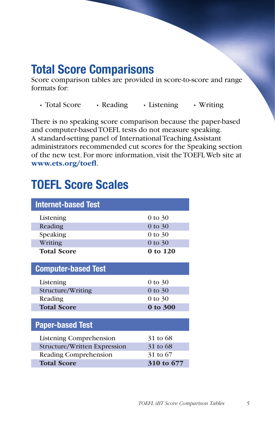## **Total Score Comparisons**

Score comparison tables are provided in score-to-score and range formats for:

• Total Score • Reading • Listening • Writing

There is no speaking score comparison because the paper-based and computer-based TOEFL tests do not measure speaking. A standard-setting panel of International Teaching Assistant administrators recommended cut scores for the Speaking section of the new test. For more information, visit the TOEFL Web site at www.ets.org/toefl.

# **TOEFL Score Scales**

| <b>Internet-based Test</b>   |             |
|------------------------------|-------------|
| Listening                    | 0 to 30     |
| Reading                      | 0 to 30     |
| Speaking                     | 0 to 30     |
| Writing                      | 0 to 30     |
| <b>Total Score</b>           | 0 to 120    |
| <b>Computer-based Test</b>   |             |
| Listening                    | 0 to 30     |
| Structure/Writing            | $0$ to $30$ |
| Reading                      | 0 to 30     |
| <b>Total Score</b>           | 0 to 300    |
|                              |             |
| <b>Paper-based Test</b>      |             |
| Listening Comprehension      | 31 to 68    |
| Structure/Written Expression | 31 to 68    |
| Reading Comprehension        | 31 to 67    |
| <b>Total Score</b>           | 310 to 677  |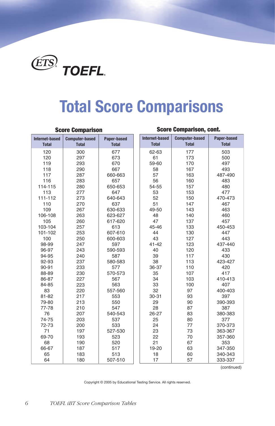

# **Total Score Comparisons**

## **Score Comparison, cont. Score Computer-based Paper-based Internet-based Computer-based Paper Internet-based Computer-based Internet-based Paper-based Paper-based Total Total Total Total Total Total** 62-63 59-60 660-663 487-490 114-115 650-653 54-55 111-112 640-643 470-473 630-633 49-50 106-108 623-627 617-620 103-104 45-46 450-453 101-102 607-610  $\overline{A}$  600-603 98-99 41-42 437-440 96-97 590-593 94-95 423-427 92-93 580-583 90-91 36-37 88-89 570-573 86-87 410-413 84-85 557-560 400-403 81-82 30-31 79-80 390-393 77-78 540-543 26-27 380-383 74-75 72-73 370-373 527-530 363-367 69-70 357-360 66-67 19-20 347-350 340-343 507-510 333-337

(continued)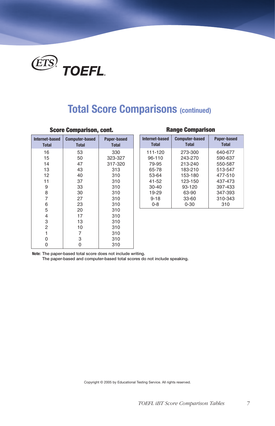

## **Total Score Comparisons (continued)**

## **Score Comparison, cont. Range Comparison**

| Internet-based<br><b>Total</b> | <b>Computer-based</b><br><b>Total</b> | Paper-based<br><b>Total</b> |
|--------------------------------|---------------------------------------|-----------------------------|
| 16                             | 53                                    | 330                         |
| 15                             | 50                                    | 323-327                     |
| 14                             | 47                                    | 317-320                     |
| 13                             | 43                                    | 313                         |
| 12                             | 40                                    | 310                         |
| 11                             | 37                                    | 310                         |
| 9                              | 33                                    | 310                         |
| 8                              | 30                                    | 310                         |
| 7                              | 27                                    | 310                         |
| 6                              | 23                                    | 310                         |
| 5                              | 20                                    | 310                         |
| 4                              | 17                                    | 310                         |
| 3                              | 13                                    | 310                         |
| $\overline{2}$                 | 10                                    | 310                         |
| 1                              | 7                                     | 310                         |
| 0                              | 3                                     | 310                         |
| 0                              |                                       | 310                         |

| <b>Internet-based</b><br><b>Total</b> | <b>Computer-based</b><br><b>Total</b> | Paper-based<br><b>Total</b> |
|---------------------------------------|---------------------------------------|-----------------------------|
| 111-120                               | 273-300                               | 640-677                     |
| 96-110                                | 243-270                               | 590-637                     |
| 79-95                                 | 213-240                               | 550-587                     |
| 65-78                                 | 183-210                               | 513-547                     |
| 53-64                                 | 153-180                               | 477-510                     |
| 41-52                                 | 123-150                               | 437-473                     |
| $30 - 40$                             | 93-120                                | 397-433                     |
| 19-29                                 | 63-90                                 | 347-393                     |
| $9 - 18$                              | 33-60                                 | 310-343                     |
| $0 - 8$                               | $0 - 30$                              | 310                         |

**Note: The paper-based total score does not include writing.** 

 **The paper-based and computer-based total scores do not include speaking.**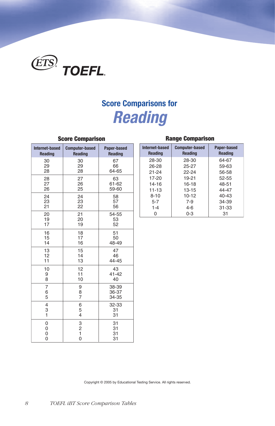

# **Score Comparisons for**  *Reading*

| Internet-based                | <b>Computer-based</b>                                        | Paper-based          |
|-------------------------------|--------------------------------------------------------------|----------------------|
| <b>Reading</b>                | Reading                                                      | Reading              |
| 30                            | 30                                                           | 67                   |
| 29                            | 29                                                           | 66                   |
| 28                            | 28                                                           | 64-65                |
| 28                            | 27                                                           | 63                   |
| 27                            | 26                                                           | 61-62                |
| 26                            | 25                                                           | 59-60                |
| 24                            | 24                                                           | 58                   |
| 23                            | 23                                                           | 57                   |
| 21                            | 22                                                           | 56                   |
| 20                            | 21                                                           | 54-55                |
| 19                            | 20                                                           | 53                   |
| 17                            | 19                                                           | 52                   |
| 16                            | 18                                                           | 51                   |
| 15                            | 17                                                           | 50                   |
| 14                            | 16                                                           | 48-49                |
| 13                            | 15                                                           | 47                   |
| 12                            | 14                                                           | 46                   |
| 11                            | 13                                                           | 44-45                |
| 10                            | 12                                                           | 43                   |
| 9                             | 11                                                           | $41 - 42$            |
| 8                             | 10                                                           | 40                   |
| $\overline{7}$                | 9                                                            | 38-39                |
| 6                             | 8                                                            | 36-37                |
| 5                             | $\overline{7}$                                               | 34-35                |
| $\overline{4}$                | 6                                                            | 32-33                |
| 3                             | 5                                                            | 31                   |
| $\mathbf{1}$                  | 4                                                            | 31                   |
| 0<br>0<br>0<br>$\overline{0}$ | $\begin{array}{c} 3 \\ 2 \\ 1 \end{array}$<br>$\overline{O}$ | 31<br>31<br>31<br>31 |

| , |                                         |                               |                                  |                                         |                                 |  |
|---|-----------------------------------------|-------------------------------|----------------------------------|-----------------------------------------|---------------------------------|--|
| d | <b>Computer-based</b><br><b>Reading</b> | Paper-based<br><b>Reading</b> | Internet-based<br><b>Reading</b> | <b>Computer-based</b><br><b>Reading</b> | Paper-based<br>Reading          |  |
|   | 30<br>29<br>28                          | 67<br>66<br>64-65             | 28-30<br>$26 - 28$<br>$21 - 24$  | 28-30<br>25-27<br>$22 - 24$             | 64-67<br>59-63<br>56-58         |  |
|   | 27<br>26<br>25                          | 63<br>61-62<br>59-60          | 17-20<br>14-16<br>$11 - 13$      | $19 - 21$<br>$16 - 18$<br>$13 - 15$     | 52-55<br>48-51<br>44-47         |  |
|   | 24<br>23<br>22                          | 58<br>57<br>56                | $8 - 10$<br>$5 - 7$<br>$1 - 4$   | $10-12$<br>$7-9$<br>$4 - 6$             | $40 - 43$<br>34-39<br>$31 - 33$ |  |
|   | 21                                      | 54-55                         |                                  | $0 - 3$                                 | 31                              |  |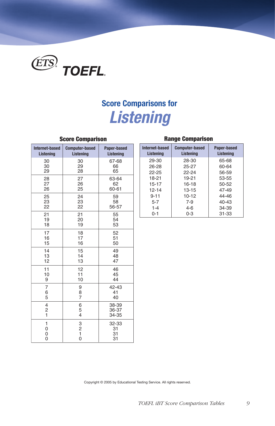

# **Score Comparisons for**  *Listening*

| <b>Internet-based</b> | <b>Computer-based</b>   | Paper-based             |
|-----------------------|-------------------------|-------------------------|
| Listening             | <b>Listening</b>        | Listening               |
| 30                    | 30                      | 67-68                   |
| 30                    | 29                      | 66                      |
| 29                    | 28                      | 65                      |
| 28                    | 27                      | 63-64                   |
| 27                    | 26                      | 62                      |
| 26                    | 25                      | 60-61                   |
| 25                    | 24                      | 59                      |
| 23                    | 23                      | 58                      |
| 22                    | 22                      | 56-57                   |
| 21                    | 21                      | 55                      |
| 19                    | 20                      | 54                      |
| 18                    | 19                      | 53                      |
| 17                    | 18                      | 52                      |
| 16                    | 17                      | 51                      |
| 15                    | 16                      | 50                      |
| 14                    | 15                      | 49                      |
| 13                    | 14                      | 48                      |
| 12                    | 13                      | 47                      |
| 11                    | 12                      | 46                      |
| 10                    | 11                      | 45                      |
| 9                     | 10                      | 44                      |
| $\overline{7}$        | 9                       | 42-43                   |
| 6                     | 8                       | 41                      |
| 5                     | $\overline{7}$          | 40                      |
| 4<br>$\frac{2}{1}$    | 6<br>5<br>4             | 38-39<br>36-37<br>34-35 |
| 1<br>0<br>0<br>0      | 3<br>$\frac{2}{1}$<br>0 | 32-33<br>31<br>31<br>31 |

## **Score Comparison Range Comparison**

| Internet-based<br>Listening | <b>Computer-based</b><br>Listening | Paper-based<br>Listening |  |  |  |
|-----------------------------|------------------------------------|--------------------------|--|--|--|
| 29-30                       | 28-30                              | 65-68                    |  |  |  |
| 26-28                       | 25-27                              | 60-64                    |  |  |  |
| $22 - 25$                   | $22 - 24$                          | 56-59                    |  |  |  |
| 18-21                       | $19 - 21$                          | 53-55                    |  |  |  |
| 15-17                       | 16-18                              | 50-52                    |  |  |  |
| $12 - 14$                   | $13 - 15$                          | 47-49                    |  |  |  |
| $9 - 11$                    | $10 - 12$                          | 44-46                    |  |  |  |
| $5 - 7$                     | $7-9$                              | $40 - 43$                |  |  |  |
| $1 - 4$                     | 4-6                                | 34-39                    |  |  |  |
| $0 - 1$                     | $0 - 3$                            | $31 - 33$                |  |  |  |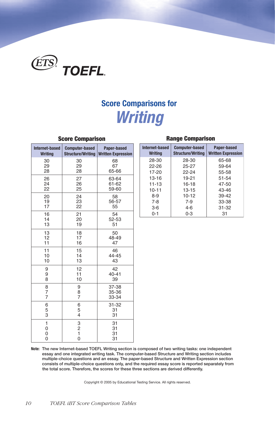

## **Score Comparisons for**  *Writing*

| Internet-based              | <b>Computer-based</b>    | Paper-based               |
|-----------------------------|--------------------------|---------------------------|
| <b>Writing</b>              | <b>Structure/Writing</b> | <b>Written Expression</b> |
| 30                          | 30                       | 68                        |
| 29                          | 29                       | 67                        |
| 28                          | 28                       | 65-66                     |
| 26                          | 27                       | 63-64                     |
| 24                          | 26                       | 61-62                     |
| 22                          | 25                       | 59-60                     |
| 20                          | 24                       | 58                        |
| 19                          | 23                       | 56-57                     |
| 17                          | 22                       | 55                        |
| 16                          | 21                       | 54                        |
| 14                          | 20                       | 52-53                     |
| 13                          | 19                       | 51                        |
| 13                          | 18                       | 50                        |
| 12                          | 17                       | 48-49                     |
| 11                          | 16                       | 47                        |
| 11                          | 15                       | 46                        |
| 10                          | 14                       | 44-45                     |
| 10                          | 13                       | 43                        |
| 9                           | 12                       | 42                        |
| 9                           | 11                       | $40 - 41$                 |
| 8                           | 10                       | 39                        |
| 8                           | 9                        | 37-38                     |
| 7                           | 8                        | 35-36                     |
| $\overline{7}$              | 7                        | 33-34                     |
| 6<br>5<br>3                 | 6<br>5<br>4              | 31-32<br>31<br>31         |
| $\mathbf{1}$<br>0<br>0<br>0 | 3<br>$\frac{2}{1}$<br>0  | 31<br>31<br>31<br>31      |

## **Range Comparison**

| d | <b>Computer-based</b> | Paper-based<br>Structure/Writing   Written Expression | Internet-based<br><b>Writing</b>    | <b>Computer-based</b><br><b>Structure/Writing</b> | Paper-based<br><b>Written Expression</b> |  |
|---|-----------------------|-------------------------------------------------------|-------------------------------------|---------------------------------------------------|------------------------------------------|--|
|   | 30<br>29<br>28        | 68<br>67<br>65-66                                     | 28-30<br>$22 - 26$<br>17-20         | 28-30<br>$25 - 27$<br>$22 - 24$                   | 65-68<br>59-64<br>55-58                  |  |
|   | 27<br>26<br>25        | 63-64<br>61-62<br>59-60                               | $13 - 16$<br>$11 - 13$<br>$10 - 11$ | 19-21<br>$16 - 18$<br>$13 - 15$                   | 51-54<br>47-50<br>43-46                  |  |
|   | 24<br>23<br>22        | 58<br>56-57<br>55                                     | $8-9$<br>$7 - 8$<br>$3-6$           | $10 - 12$<br>$7-9$<br>$4-6$                       | 39-42<br>33-38<br>$31 - 32$              |  |
|   | 21                    | 54                                                    | $0 - 1$                             | $0 - 3$                                           | 31                                       |  |

**Note: The new Internet-based TOEFL Writing section is composed of two writing tasks: one independent essay and one integrated writing task. The computer-based Structure and Writing section includes multiple-choice questions and an essay. The paper-based Structure and Written Expression section consists of multiple-choice questions only, and the required essay score is reported separately from the total score. Therefore, the scores for these three sections are derived differently.**